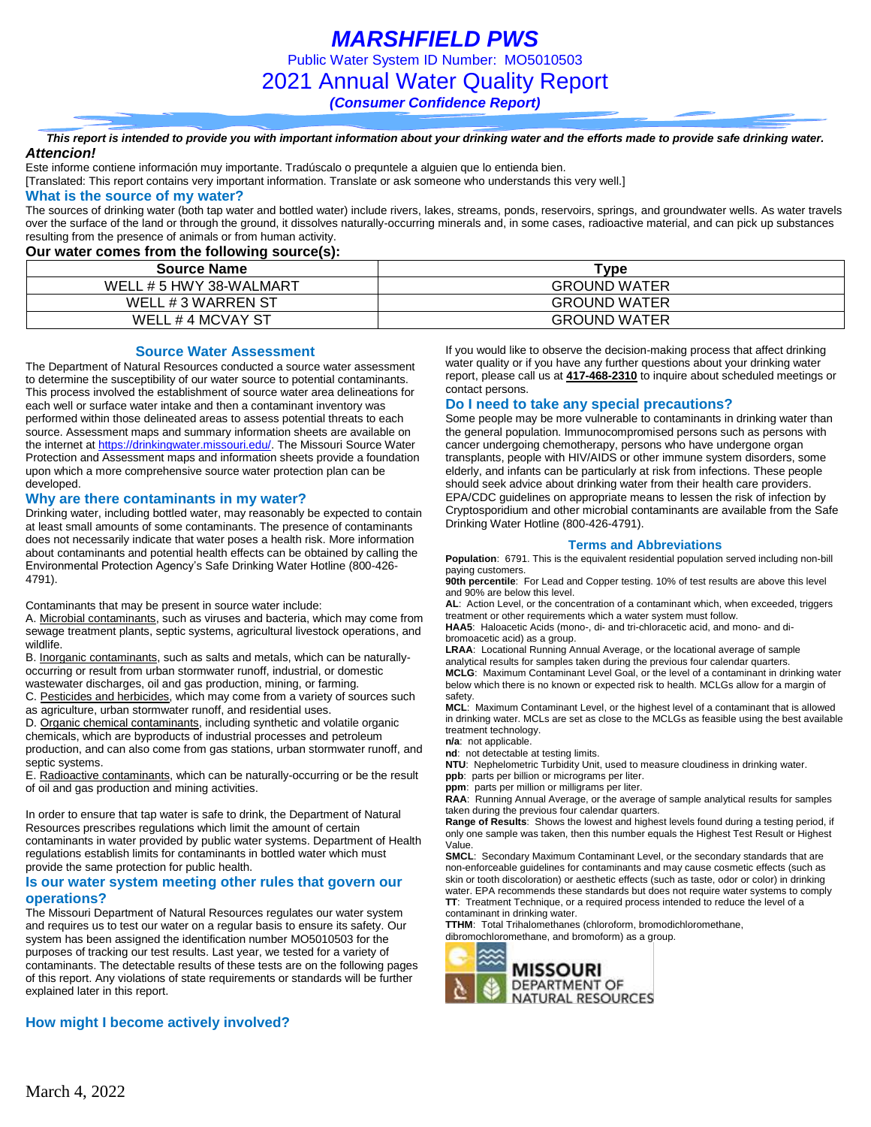*MARSHFIELD PWS* Public Water System ID Number: MO5010503 2021 Annual Water Quality Report *(Consumer Confidence Report)*

*This report is intended to provide you with important information about your drinking water and the efforts made to provide safe drinking water. Attencion!*

Este informe contiene información muy importante. Tradúscalo o prequntele a alguien que lo entienda bien.

[Translated: This report contains very important information. Translate or ask someone who understands this very well.]

## **What is the source of my water?**

The sources of drinking water (both tap water and bottled water) include rivers, lakes, streams, ponds, reservoirs, springs, and groundwater wells. As water travels over the surface of the land or through the ground, it dissolves naturally-occurring minerals and, in some cases, radioactive material, and can pick up substances resulting from the presence of animals or from human activity.

## **Our water comes from the following source(s):**

| <b>Source Name</b>      | Type                |  |  |  |  |
|-------------------------|---------------------|--|--|--|--|
| WELL # 5 HWY 38-WALMART | <b>GROUND WATER</b> |  |  |  |  |
| WELL # 3 WARREN ST      | <b>GROUND WATER</b> |  |  |  |  |
| WELL #4 MCVAY ST        | <b>GROUND WATER</b> |  |  |  |  |

### **Source Water Assessment**

The Department of Natural Resources conducted a source water assessment to determine the susceptibility of our water source to potential contaminants. This process involved the establishment of source water area delineations for each well or surface water intake and then a contaminant inventory was performed within those delineated areas to assess potential threats to each source. Assessment maps and summary information sheets are available on the internet a[t https://drinkingwater.missouri.edu/.](https://drinkingwater.missouri.edu/) The Missouri Source Water Protection and Assessment maps and information sheets provide a foundation upon which a more comprehensive source water protection plan can be developed.

### **Why are there contaminants in my water?**

Drinking water, including bottled water, may reasonably be expected to contain at least small amounts of some contaminants. The presence of contaminants does not necessarily indicate that water poses a health risk. More information about contaminants and potential health effects can be obtained by calling the Environmental Protection Agency's Safe Drinking Water Hotline (800-426- 4791).

Contaminants that may be present in source water include:

A. Microbial contaminants, such as viruses and bacteria, which may come from sewage treatment plants, septic systems, agricultural livestock operations, and wildlife.

B. Inorganic contaminants, such as salts and metals, which can be naturallyoccurring or result from urban stormwater runoff, industrial, or domestic wastewater discharges, oil and gas production, mining, or farming.

C. Pesticides and herbicides, which may come from a variety of sources such

as agriculture, urban stormwater runoff, and residential uses.

D. Organic chemical contaminants, including synthetic and volatile organic chemicals, which are byproducts of industrial processes and petroleum production, and can also come from gas stations, urban stormwater runoff, and septic systems.

E. Radioactive contaminants, which can be naturally-occurring or be the result of oil and gas production and mining activities.

In order to ensure that tap water is safe to drink, the Department of Natural Resources prescribes regulations which limit the amount of certain contaminants in water provided by public water systems. Department of Health regulations establish limits for contaminants in bottled water which must provide the same protection for public health.

### **Is our water system meeting other rules that govern our operations?**

The Missouri Department of Natural Resources regulates our water system and requires us to test our water on a regular basis to ensure its safety. Our system has been assigned the identification number MO5010503 for the purposes of tracking our test results. Last year, we tested for a variety of contaminants. The detectable results of these tests are on the following pages of this report. Any violations of state requirements or standards will be further explained later in this report.

## **How might I become actively involved?**

If you would like to observe the decision-making process that affect drinking water quality or if you have any further questions about your drinking water report, please call us at **417-468-2310** to inquire about scheduled meetings or contact persons.

## **Do I need to take any special precautions?**

Some people may be more vulnerable to contaminants in drinking water than the general population. Immunocompromised persons such as persons with cancer undergoing chemotherapy, persons who have undergone organ transplants, people with HIV/AIDS or other immune system disorders, some elderly, and infants can be particularly at risk from infections. These people should seek advice about drinking water from their health care providers. EPA/CDC guidelines on appropriate means to lessen the risk of infection by Cryptosporidium and other microbial contaminants are available from the Safe Drinking Water Hotline (800-426-4791).

#### **Terms and Abbreviations**

**Population**: 6791. This is the equivalent residential population served including non-bill paying customers.

**90th percentile**: For Lead and Copper testing. 10% of test results are above this level and 90% are below this level.

**AL**: Action Level, or the concentration of a contaminant which, when exceeded, triggers treatment or other requirements which a water system must follow.

**HAA5**: Haloacetic Acids (mono-, di- and tri-chloracetic acid, and mono- and dibromoacetic acid) as a group.

**LRAA**: Locational Running Annual Average, or the locational average of sample analytical results for samples taken during the previous four calendar quarters.

**MCLG**: Maximum Contaminant Level Goal, or the level of a contaminant in drinking water below which there is no known or expected risk to health. MCLGs allow for a margin of safety.

**MCL**: Maximum Contaminant Level, or the highest level of a contaminant that is allowed in drinking water. MCLs are set as close to the MCLGs as feasible using the best available treatment technology.

**n/a**: not applicable.

**nd**: not detectable at testing limits.

**NTU**: Nephelometric Turbidity Unit, used to measure cloudiness in drinking water. **ppb**: parts per billion or micrograms per liter.

**ppm**: parts per million or milligrams per liter.

**RAA**: Running Annual Average, or the average of sample analytical results for samples taken during the previous four calendar quarters.

**Range of Results**: Shows the lowest and highest levels found during a testing period, if only one sample was taken, then this number equals the Highest Test Result or Highest Value.

**SMCL**: Secondary Maximum Contaminant Level, or the secondary standards that are non-enforceable guidelines for contaminants and may cause cosmetic effects (such as skin or tooth discoloration) or aesthetic effects (such as taste, odor or color) in drinking water. EPA recommends these standards but does not require water systems to comply **TT**: Treatment Technique, or a required process intended to reduce the level of a contaminant in drinking water.

**TTHM**: Total Trihalomethanes (chloroform, bromodichloromethane, dibromochloromethane, and bromoform) as a group.